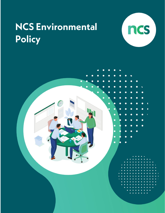

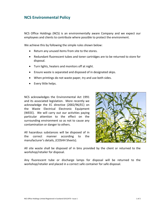NCS Office Holdings (NCS) is an environmentally aware Company and we expect our employees and clients to contribute where possible to protect the environment.

We achieve this by following the simple rules shown below:

- Return any unused items from site to the stores.
- Redundant fluorescent tubes and toner cartridges are to be returned to store for disposal.
- Turn lights, heaters and monitors off at night.
- Ensure waste is separated and disposed of in designated skips.
- When printings do not waste paper, try and use both sides.
- Every little helps.

NCS acknowledges the Environmental Act 1991 and its associated legislation. More recently we acknowledge the EC directive (2002/96/EC) on the Waste Electrical Electronic Equipment (WEEE). We will carry out our activities paying particular attention to the effect on the surrounding environment so as not to cause any contamination or danger to others.

All hazardous substances will be disposed of in the correct manner according to the manufacturer's details, (COSHH Sheets).



All site waste shall be disposed of in bins provided by the client or returned to the workshop/retailer for disposal.

Any fluorescent tube or discharge lamps for disposal will be returned to the workshop/retailer and placed in a correct safe container for safe disposal.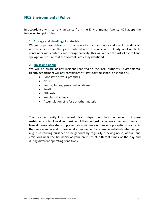In accordance with current guidance from the Environmental Agency NCS adopt the following ten principles:

## **1. Storage and Handling of materials**

We will supervise deliveries of materials to our client sites and check the delivery note to ensure that the goods ordered are those received. Clearly label refillable containers with contents and storage capacity; this will reduce the risk of overfill and spillage will ensure that the contents are easily identified.

## **2. Noise and odour**

We will be aware of any incident reported to the local authority Environmental Health department will any complaints of "statutory nuisance" arise such as:-

- Poor state of your premises
- Noise
- Smoke, fumes, gases dust or steam
- Smell
- Effluents
- Keeping of animals
- Accumulation of refuse or other material.

The Local Authority Environment Health department has the power to impose restrictions or to close down business if they find just cause, we expect our clients to take all reasonable steps to prevent or minimise a nuisance or potential nuisance, in the same manner and professionalism as we do. For example, establish whether you might be causing nuisance to neighbours by regularly checking noise, odours and emissions near the boundary of your premises at different times of the day and during different operating conditions.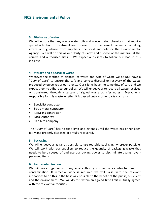### **3. Discharge of water**

We will ensure that any waste water, oils and concentrated chemicals that require special attention or treatment are disposed of in the correct manner after taking advice and guidance from suppliers, the local authority or the Environmental Agency. We will do this as our "Duty of Care" and dispose of the material at the correct and authorised sites. We expect our clients to follow our lead in this initiative.

### **4. Storage and disposal of waste**

Whatever the method of disposal of waste and type of waste we at NCS have a "Duty of Care" to ensure the safe and correct disposal or recovery of the waste produced by ourselves or our clients. Our clients have the same duty of care and we expect them to adhere to our policy. We will endeavour to record all waste received or transferred through a system of signed waste transfer notes. Everyone is responsible for this waste whether it is passed onto another party such as:-

- Specialist contractor
- Scrap metal contractor
- Recycling contractor
- Local Authority
- Skip hire Company

The "Duty of Care" has no time limit and extends until the waste has either been fairly and properly disposed of or fully recovered.

#### **5. Packaging**

We will endeavour as far as possible to use reusable packaging wherever possible. We will work with our suppliers to reduce the quantity of packaging waste that needs to be disposed of and use our buying power to discriminate against overpackaged items.

#### **6. Land contamination**

We will work together with any local authority to check any contracted land for contamination. If remedial work is required we will liaise with the relevant authorities to do this in the best way possible to the benefit of the public, our client and the environment. We will do this within an agreed time limit mutually agreed with the relevant authorities.